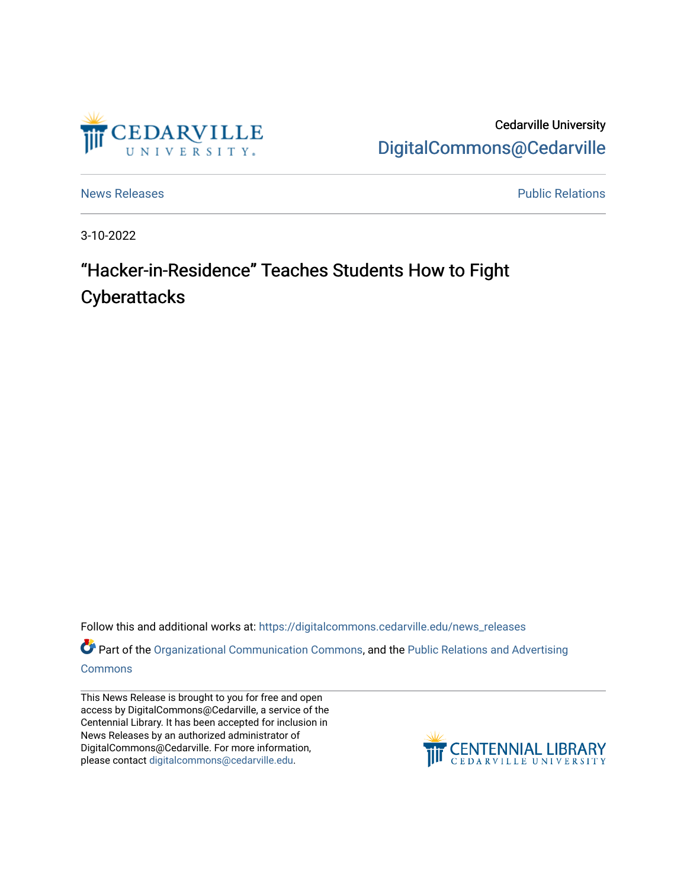

Cedarville University [DigitalCommons@Cedarville](https://digitalcommons.cedarville.edu/) 

[News Releases](https://digitalcommons.cedarville.edu/news_releases) **Public Relations Public Relations** 

3-10-2022

## "Hacker-in-Residence" Teaches Students How to Fight **Cyberattacks**

Follow this and additional works at: [https://digitalcommons.cedarville.edu/news\\_releases](https://digitalcommons.cedarville.edu/news_releases?utm_source=digitalcommons.cedarville.edu%2Fnews_releases%2F1516&utm_medium=PDF&utm_campaign=PDFCoverPages) 

Part of the [Organizational Communication Commons](http://network.bepress.com/hgg/discipline/335?utm_source=digitalcommons.cedarville.edu%2Fnews_releases%2F1516&utm_medium=PDF&utm_campaign=PDFCoverPages), and the Public Relations and Advertising [Commons](http://network.bepress.com/hgg/discipline/336?utm_source=digitalcommons.cedarville.edu%2Fnews_releases%2F1516&utm_medium=PDF&utm_campaign=PDFCoverPages)

This News Release is brought to you for free and open access by DigitalCommons@Cedarville, a service of the Centennial Library. It has been accepted for inclusion in News Releases by an authorized administrator of DigitalCommons@Cedarville. For more information, please contact [digitalcommons@cedarville.edu](mailto:digitalcommons@cedarville.edu).

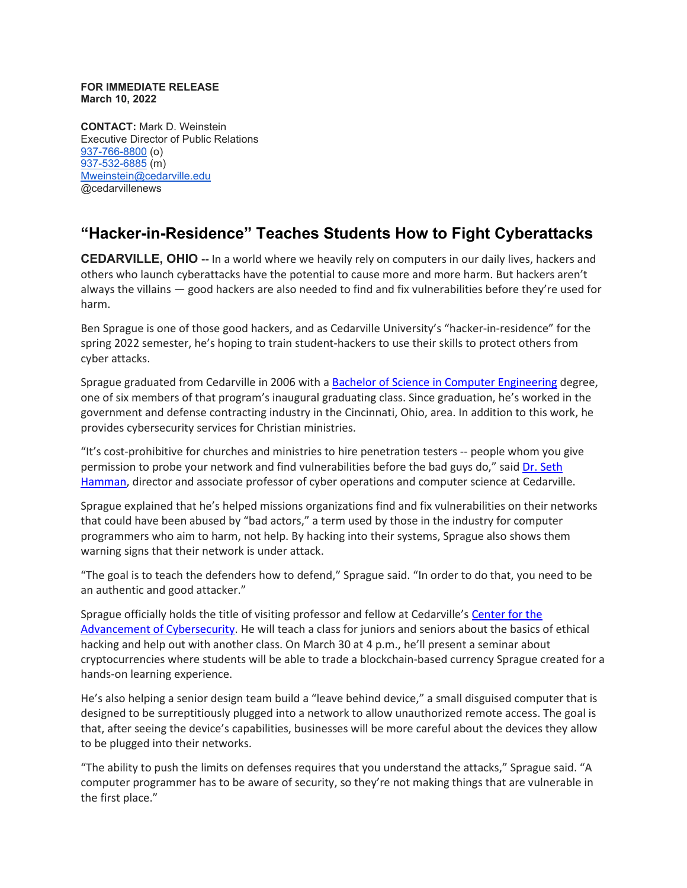## **FOR IMMEDIATE RELEASE March 10, 2022**

**CONTACT:** Mark D. Weinstein Executive Director of Public Relations [937-766-8800](tel:937-766-8800) (o) [937-532-6885](tel:937-532-6885) (m) [Mweinstein@cedarville.edu](mailto:Mweinstein@cedarville.edu) @cedarvillenews

## **"Hacker-in-Residence" Teaches Students How to Fight Cyberattacks**

**CEDARVILLE, OHIO --** In a world where we heavily rely on computers in our daily lives, hackers and others who launch cyberattacks have the potential to cause more and more harm. But hackers aren't always the villains — good hackers are also needed to find and fix vulnerabilities before they're used for harm.

Ben Sprague is one of those good hackers, and as Cedarville University's "hacker-in-residence" for the spring 2022 semester, he's hoping to train student-hackers to use their skills to protect others from cyber attacks.

Sprague graduated from Cedarville in 2006 with a [Bachelor of Science in Computer Engineering](https://www.cedarville.edu/academic-programs/computer-engineering) degree, one of six members of that program's inaugural graduating class. Since graduation, he's worked in the government and defense contracting industry in the Cincinnati, Ohio, area. In addition to this work, he provides cybersecurity services for Christian ministries.

"It's cost-prohibitive for churches and ministries to hire penetration testers -- people whom you give permission to probe your network and find vulnerabilities before the bad guys do," said [Dr. Seth](https://www.cedarville.edu/academic-schools-and-departments/engineering-and-computer-science/faculty/faculty/hamman-seth)  [Hamman,](https://www.cedarville.edu/academic-schools-and-departments/engineering-and-computer-science/faculty/faculty/hamman-seth) director and associate professor of cyber operations and computer science at Cedarville.

Sprague explained that he's helped missions organizations find and fix vulnerabilities on their networks that could have been abused by "bad actors," a term used by those in the industry for computer programmers who aim to harm, not help. By hacking into their systems, Sprague also shows them warning signs that their network is under attack.

"The goal is to teach the defenders how to defend," Sprague said. "In order to do that, you need to be an authentic and good attacker."

Sprague officially holds the title of visiting professor and fellow at Cedarville's [Center for the](https://www.cedarville.edu/center-for-the-advancement-of-cybersecurity) [Advancement of Cybersecurity.](https://www.cedarville.edu/center-for-the-advancement-of-cybersecurity) He will teach a class for juniors and seniors about the basics of ethical hacking and help out with another class. On March 30 at 4 p.m., he'll present a seminar about cryptocurrencies where students will be able to trade a blockchain-based currency Sprague created for a hands-on learning experience.

He's also helping a senior design team build a "leave behind device," a small disguised computer that is designed to be surreptitiously plugged into a network to allow unauthorized remote access. The goal is that, after seeing the device's capabilities, businesses will be more careful about the devices they allow to be plugged into their networks.

"The ability to push the limits on defenses requires that you understand the attacks," Sprague said. "A computer programmer has to be aware of security, so they're not making things that are vulnerable in the first place."